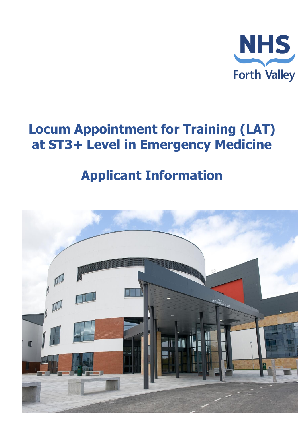

# **Locum Appointment for Training (LAT) at ST3+ Level in Emergency Medicine**

# **Applicant Information**

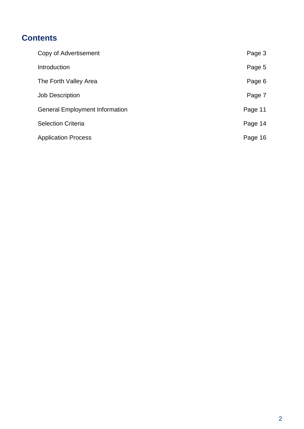# **Contents**

| Copy of Advertisement                 | Page 3  |
|---------------------------------------|---------|
| Introduction                          | Page 5  |
| The Forth Valley Area                 | Page 6  |
| <b>Job Description</b>                | Page 7  |
| <b>General Employment Information</b> | Page 11 |
| <b>Selection Criteria</b>             | Page 14 |
| <b>Application Process</b>            | Page 16 |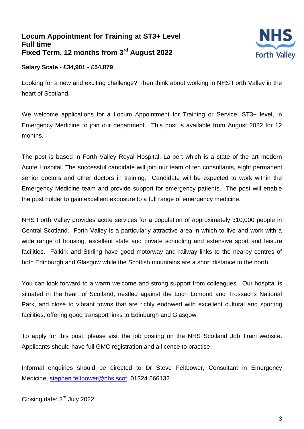## **Locum Appointment for Training at ST3+ Level Full time Fixed Term, 12 months from 3 rd August 2022**



#### **Salary Scale - £34,901 - £54,879**

Looking for a new and exciting challenge? Then think about working in NHS Forth Valley in the heart of Scotland.

We welcome applications for a Locum Appointment for Training or Service, ST3+ level, in Emergency Medicine to join our department. This post is available from August 2022 for 12 months.

The post is based in Forth Valley Royal Hospital, Larbert which is a state of the art modern Acute Hospital. The successful candidate will join our team of ten consultants, eight permanent senior doctors and other doctors in training. Candidate will be expected to work within the Emergency Medicine team and provide support for emergency patients. The post will enable the post holder to gain excellent exposure to a full range of emergency medicine.

NHS Forth Valley provides acute services for a population of approximately 310,000 people in Central Scotland. Forth Valley is a particularly attractive area in which to live and work with a wide range of housing, excellent state and private schooling and extensive sport and leisure facilities. Falkirk and Stirling have good motorway and railway links to the nearby centres of both Edinburgh and Glasgow while the Scottish mountains are a short distance to the north.

You can look forward to a warm welcome and strong support from colleagues. Our hospital is situated in the heart of Scotland, nestled against the Loch Lomond and Trossachs National Park, and close to vibrant towns that are richly endowed with excellent cultural and sporting facilities, offering good transport links to Edinburgh and Glasgow.

To apply for this post, please visit the job posting on the NHS Scotland Job Train website. Applicants should have full GMC registration and a licence to practise.

Informal enquiries should be directed to Dr Steve Feltbower, Consultant in Emergency Medicine, [stephen.feltbower@nhs.scot,](http://#) 01324 566132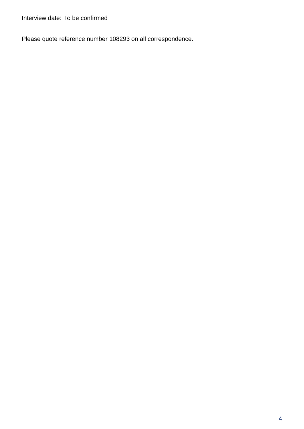Interview date: To be confirmed

Please quote reference number 108293 on all correspondence.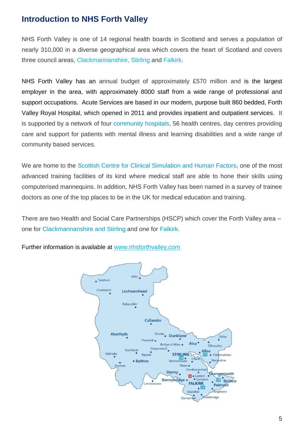## **Introduction to NHS Forth Valley**

NHS Forth Valley is one of 14 regional health boards in Scotland and serves a population of nearly 310,000 in a diverse geographical area which covers the heart of Scotland and covers three council areas, [Clackmannanshire,](http://#) [Stirling](http://#) and [Falkirk.](http://#)

NHS Forth Valley has an annual budget of approximately £570 million and is the largest employer in the area, with approximately 8000 staff from a wide range of professional and support occupations. Acute Services are based in our modern, purpose built 860 bedded, Forth Valley Royal Hospital, which opened in 2011 and provides inpatient and outpatient services. It is supported by a network of four [community](http://#) hospitals, 56 health centres, day centres providing care and support for patients with mental illness and learning disabilities and a wide range of community based services.

We are home to the Scottish Centre for Clinical [Simulation](http://#) and Human Factors, one of the most advanced training facilities of its kind where medical staff are able to hone their skills using computerised mannequins. In addition, NHS Forth Valley has been named in a survey of trainee doctors as one of the top places to be in the UK for medical education and training.

There are two Health and Social Care Partnerships (HSCP) which cover the Forth Valley area – one for [Clackmannanshire and Stirling](http://#) and one for [Falkirk.](http://#)



Further information is available at [www.nhsforthvalley.com](http://#)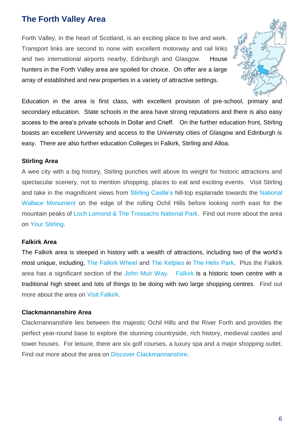## **The Forth Valley Area**

Forth Valley, in the heart of Scotland, is an exciting place to live and work. Transport links are second to none with excellent motorway and rail links and two international airports nearby, Edinburgh and Glasgow. House hunters in the Forth Valley area are spoiled for choice. On offer are a large array of established and new properties in a variety of attractive settings.



Education in the area is first class, with excellent provision of pre-school, primary and secondary education. State schools in the area have strong reputations and there is also easy access to the area's private schools in Dollar and Crieff. On the further education front, Stirling boasts an excellent University and access to the University cities of Glasgow and Edinburgh is easy. There are also further education Colleges in Falkirk, Stirling and Alloa.

#### **Stirling Area**

A wee city with a big history, Stirling punches well above its weight for historic attractions and spectacular scenery, not to mention shopping, places to eat and exciting events. Visit Stirling and take in the magnificent views from [Stirling Castle's](http://#) hill-top esplanade towards the [National](http://#)  [Wallace Monument](http://#) on the edge of the rolling Ochil Hills before looking north east for the mountain peaks of [Loch Lomond & The Trossachs National Park.](http://#) Find out more about the area on [Your Stirling.](http://#)

#### **Falkirk Area**

The Falkirk area is steeped in history with a wealth of attractions, including two of the world's most unique, including, [The Falkirk Wheel a](http://#)nd [The Kelpies](http://#) in [The Helix Park.](http://#) Plus the Falkirk area has a significant section of the [John Muir Way.](http://#) [Falkirk](http://#) is a historic town centre with a traditional high street and lots of things to be doing with two large shopping centres. Find out more about the area on [Visit Falkirk.](http://#)

#### **Clackmannanshire Area**

Clackmannanshire lies between the majestic Ochil Hills and the River Forth and provides the perfect year-round base to explore the stunning countryside, rich history, medieval castles and tower houses. For leisure, there are six golf courses, a luxury spa and a major shopping outlet. Find out more about the area on [Discover Clackmannanshire.](http://#)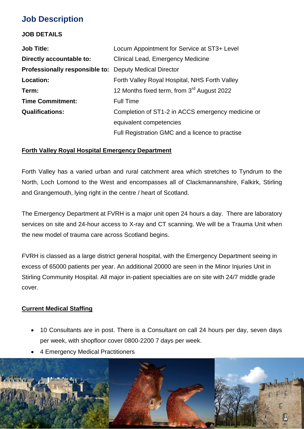## **Job Description**

#### **JOB DETAILS**

| <b>Job Title:</b>                                             | Locum Appointment for Service at ST3+ Level            |
|---------------------------------------------------------------|--------------------------------------------------------|
| Directly accountable to:                                      | Clinical Lead, Emergency Medicine                      |
| <b>Professionally responsible to: Deputy Medical Director</b> |                                                        |
| Location:                                                     | Forth Valley Royal Hospital, NHS Forth Valley          |
| Term:                                                         | 12 Months fixed term, from 3 <sup>rd</sup> August 2022 |
| <b>Time Commitment:</b>                                       | <b>Full Time</b>                                       |
| <b>Qualifications:</b>                                        | Completion of ST1-2 in ACCS emergency medicine or      |
|                                                               | equivalent competencies                                |
|                                                               | Full Registration GMC and a licence to practise        |

#### **Forth Valley Royal Hospital Emergency Department**

Forth Valley has a varied urban and rural catchment area which stretches to Tyndrum to the North, Loch Lomond to the West and encompasses all of Clackmannanshire, Falkirk, Stirling and Grangemouth, lying right in the centre / heart of Scotland.

The Emergency Department at FVRH is a major unit open 24 hours a day. There are laboratory services on site and 24-hour access to X-ray and CT scanning. We will be a Trauma Unit when the new model of trauma care across Scotland begins.

FVRH is classed as a large district general hospital, with the Emergency Department seeing in excess of 65000 patients per year. An additional 20000 are seen in the Minor Injuries Unit in Stirling Community Hospital. All major in-patient specialties are on site with 24/7 middle grade cover.

### **Current Medical Staffing**

- 10 Consultants are in post. There is a Consultant on call 24 hours per day, seven days per week, with shopfloor cover 0800-2200 7 days per week.
- 4 Emergency Medical Practitioners

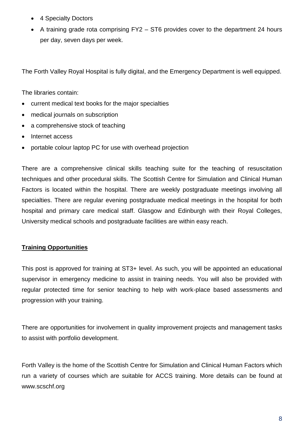- 4 Specialty Doctors
- A training grade rota comprising FY2 ST6 provides cover to the department 24 hours per day, seven days per week.

The Forth Valley Royal Hospital is fully digital, and the Emergency Department is well equipped.

The libraries contain:

- current medical text books for the major specialties
- medical journals on subscription
- a comprehensive stock of teaching
- Internet access
- portable colour laptop PC for use with overhead projection

There are a comprehensive clinical skills teaching suite for the teaching of resuscitation techniques and other procedural skills. The Scottish Centre for Simulation and Clinical Human Factors is located within the hospital. There are weekly postgraduate meetings involving all specialties. There are regular evening postgraduate medical meetings in the hospital for both hospital and primary care medical staff. Glasgow and Edinburgh with their Royal Colleges, University medical schools and postgraduate facilities are within easy reach.

#### **Training Opportunities**

This post is approved for training at ST3+ level. As such, you will be appointed an educational supervisor in emergency medicine to assist in training needs. You will also be provided with regular protected time for senior teaching to help with work-place based assessments and progression with your training.

There are opportunities for involvement in quality improvement projects and management tasks to assist with portfolio development.

Forth Valley is the home of the Scottish Centre for Simulation and Clinical Human Factors which run a variety of courses which are suitable for ACCS training. More details can be found at www.scschf.org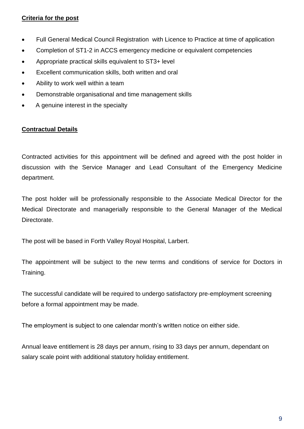### **Criteria for the post**

- Full General Medical Council Registration with Licence to Practice at time of application
- Completion of ST1-2 in ACCS emergency medicine or equivalent competencies
- Appropriate practical skills equivalent to ST3+ level
- Excellent communication skills, both written and oral
- Ability to work well within a team
- Demonstrable organisational and time management skills
- A genuine interest in the specialty

### **Contractual Details**

Contracted activities for this appointment will be defined and agreed with the post holder in discussion with the Service Manager and Lead Consultant of the Emergency Medicine department.

The post holder will be professionally responsible to the Associate Medical Director for the Medical Directorate and managerially responsible to the General Manager of the Medical Directorate.

The post will be based in Forth Valley Royal Hospital, Larbert.

The appointment will be subject to the new terms and conditions of service for Doctors in Training.

The successful candidate will be required to undergo satisfactory pre-employment screening before a formal appointment may be made.

The employment is subject to one calendar month's written notice on either side.

Annual leave entitlement is 28 days per annum, rising to 33 days per annum, dependant on salary scale point with additional statutory holiday entitlement.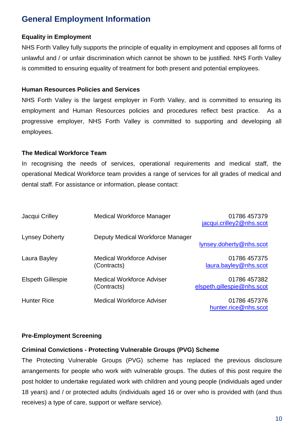## **General Employment Information**

#### **Equality in Employment**

NHS Forth Valley fully supports the principle of equality in employment and opposes all forms of unlawful and / or unfair discrimination which cannot be shown to be justified. NHS Forth Valley is committed to ensuring equality of treatment for both present and potential employees.

#### **Human Resources Policies and Services**

NHS Forth Valley is the largest employer in Forth Valley, and is committed to ensuring its employment and Human Resources policies and procedures reflect best practice. As a progressive employer, NHS Forth Valley is committed to supporting and developing all employees.

### **The Medical Workforce Team**

In recognising the needs of services, operational requirements and medical staff, the operational Medical Workforce team provides a range of services for all grades of medical and dental staff. For assistance or information, please contact:

| Jacqui Crilley           | Medical Workforce Manager                       | 01786 457379<br>jacqui.crilley2@nhs.scot   |
|--------------------------|-------------------------------------------------|--------------------------------------------|
| <b>Lynsey Doherty</b>    | Deputy Medical Workforce Manager                | lynsey.doherty@nhs.scot                    |
| Laura Bayley             | <b>Medical Workforce Adviser</b><br>(Contracts) | 01786 457375<br>laura.bayley@nhs.scot      |
| <b>Elspeth Gillespie</b> | <b>Medical Workforce Adviser</b><br>(Contracts) | 01786 457382<br>elspeth.gillespie@nhs.scot |
| <b>Hunter Rice</b>       | <b>Medical Workforce Adviser</b>                | 01786 457376<br>hunter.rice@nhs.scot       |

#### **Pre-Employment Screening**

#### **Criminal Convictions - Protecting Vulnerable Groups (PVG) Scheme**

The Protecting Vulnerable Groups (PVG) scheme has replaced the previous disclosure arrangements for people who work with vulnerable groups. The duties of this post require the post holder to undertake regulated work with children and young people (individuals aged under 18 years) and / or protected adults (individuals aged 16 or over who is provided with (and thus receives) a type of care, support or welfare service).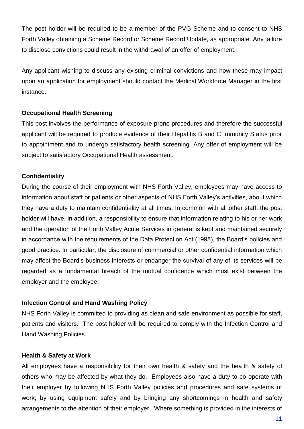The post holder will be required to be a member of the PVG Scheme and to consent to NHS Forth Valley obtaining a Scheme Record or Scheme Record Update, as appropriate. Any failure to disclose convictions could result in the withdrawal of an offer of employment.

Any applicant wishing to discuss any existing criminal convictions and how these may impact upon an application for employment should contact the Medical Workforce Manager in the first instance.

#### **Occupational Health Screening**

This post involves the performance of exposure prone procedures and therefore the successful applicant will be required to produce evidence of their Hepatitis B and C Immunity Status prior to appointment and to undergo satisfactory health screening. Any offer of employment will be subject to satisfactory Occupational Health assessment.

### **Confidentiality**

During the course of their employment with NHS Forth Valley, employees may have access to information about staff or patients or other aspects of NHS Forth Valley's activities, about which they have a duty to maintain confidentiality at all times. In common with all other staff, the post holder will have, in addition, a responsibility to ensure that information relating to his or her work and the operation of the Forth Valley Acute Services in general is kept and maintained securely in accordance with the requirements of the Data Protection Act (1998), the Board's policies and good practice. In particular, the disclosure of commercial or other confidential information which may affect the Board's business interests or endanger the survival of any of its services will be regarded as a fundamental breach of the mutual confidence which must exist between the employer and the employee.

#### **Infection Control and Hand Washing Policy**

NHS Forth Valley is committed to providing as clean and safe environment as possible for staff, patients and visitors. The post holder will be required to comply with the Infection Control and Hand Washing Policies.

#### **Health & Safety at Work**

All employees have a responsibility for their own health & safety and the health & safety of others who may be affected by what they do. Employees also have a duty to co-operate with their employer by following NHS Forth Valley policies and procedures and safe systems of work; by using equipment safely and by bringing any shortcomings in health and safety arrangements to the attention of their employer. Where something is provided in the interests of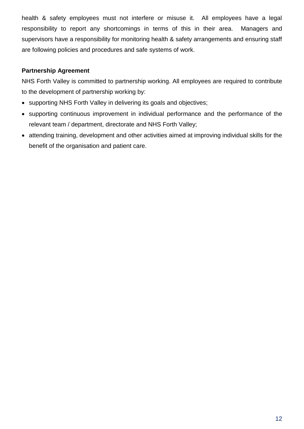health & safety employees must not interfere or misuse it. All employees have a legal responsibility to report any shortcomings in terms of this in their area. Managers and supervisors have a responsibility for monitoring health & safety arrangements and ensuring staff are following policies and procedures and safe systems of work.

### **Partnership Agreement**

NHS Forth Valley is committed to partnership working. All employees are required to contribute to the development of partnership working by:

- supporting NHS Forth Valley in delivering its goals and objectives;
- supporting continuous improvement in individual performance and the performance of the relevant team / department, directorate and NHS Forth Valley;
- attending training, development and other activities aimed at improving individual skills for the benefit of the organisation and patient care.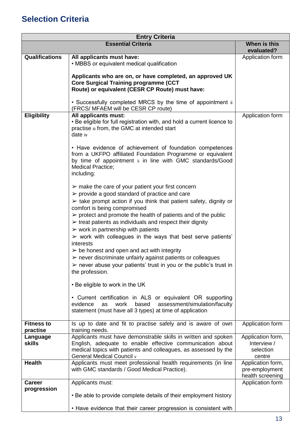## **Selection Criteria**

| <b>Entry Criteria</b>         |                                                                                                                                                                                                                                                                                                                                                                                                                                                                                                                                                                                                                                                                                                                                                                                                                                                                                                                                                                                                                                                                                                                                                                                                                                                                                                                                                                                                                                                            |                                                         |  |  |
|-------------------------------|------------------------------------------------------------------------------------------------------------------------------------------------------------------------------------------------------------------------------------------------------------------------------------------------------------------------------------------------------------------------------------------------------------------------------------------------------------------------------------------------------------------------------------------------------------------------------------------------------------------------------------------------------------------------------------------------------------------------------------------------------------------------------------------------------------------------------------------------------------------------------------------------------------------------------------------------------------------------------------------------------------------------------------------------------------------------------------------------------------------------------------------------------------------------------------------------------------------------------------------------------------------------------------------------------------------------------------------------------------------------------------------------------------------------------------------------------------|---------------------------------------------------------|--|--|
|                               | <b>Essential Criteria</b>                                                                                                                                                                                                                                                                                                                                                                                                                                                                                                                                                                                                                                                                                                                                                                                                                                                                                                                                                                                                                                                                                                                                                                                                                                                                                                                                                                                                                                  | When is this<br>evaluated?                              |  |  |
| <b>Qualifications</b>         | All applicants must have:<br>• MBBS or equivalent medical qualification<br>Applicants who are on, or have completed, an approved UK<br><b>Core Surgical Training programme (CCT</b><br>Route) or equivalent (CESR CP Route) must have:<br>• Successfully completed MRCS by the time of appointment ii<br>(FRCS/ MFAEM will be CESR CP route)                                                                                                                                                                                                                                                                                                                                                                                                                                                                                                                                                                                                                                                                                                                                                                                                                                                                                                                                                                                                                                                                                                               | Application form                                        |  |  |
| <b>Eligibility</b>            | All applicants must:<br>• Be eligible for full registration with, and hold a current licence to<br>practise iii from, the GMC at intended start<br>date iv<br>• Have evidence of achievement of foundation competences<br>from a UKFPO affiliated Foundation Programme or equivalent<br>by time of appointment ii in line with GMC standards/Good<br><b>Medical Practice;</b><br>including:<br>$\triangleright$ make the care of your patient your first concern<br>$\triangleright$ provide a good standard of practice and care<br>$\triangleright$ take prompt action if you think that patient safety, dignity or<br>comfort is being compromised<br>$\triangleright$ protect and promote the health of patients and of the public<br>$\triangleright$ treat patients as individuals and respect their dignity<br>$\triangleright$ work in partnership with patients<br>$\triangleright$ work with colleagues in the ways that best serve patients'<br>interests<br>$\triangleright$ be honest and open and act with integrity<br>$\triangleright$ never discriminate unfairly against patients or colleagues<br>$\triangleright$ never abuse your patients' trust in you or the public's trust in<br>the profession.<br>• Be eligible to work in the UK<br>• Current certification in ALS or equivalent OR supporting<br>work<br>based<br>assessment/simulation/faculty<br>evidence<br>as<br>statement (must have all 3 types) at time of application | Application form                                        |  |  |
| <b>Fitness to</b><br>practise | Is up to date and fit to practise safely and is aware of own<br>training needs.                                                                                                                                                                                                                                                                                                                                                                                                                                                                                                                                                                                                                                                                                                                                                                                                                                                                                                                                                                                                                                                                                                                                                                                                                                                                                                                                                                            | Application form                                        |  |  |
| Language<br><b>skills</b>     | Applicants must have demonstrable skills in written and spoken<br>English, adequate to enable effective communication about<br>medical topics with patients and colleagues, as assessed by the<br>General Medical Council v                                                                                                                                                                                                                                                                                                                                                                                                                                                                                                                                                                                                                                                                                                                                                                                                                                                                                                                                                                                                                                                                                                                                                                                                                                | Application form,<br>Interview /<br>selection<br>centre |  |  |
| <b>Health</b>                 | Applicants must meet professional health requirements (in line<br>with GMC standards / Good Medical Practice).                                                                                                                                                                                                                                                                                                                                                                                                                                                                                                                                                                                                                                                                                                                                                                                                                                                                                                                                                                                                                                                                                                                                                                                                                                                                                                                                             | Application form,<br>pre-employment<br>health screening |  |  |
| <b>Career</b><br>progression  | Applicants must:<br>• Be able to provide complete details of their employment history<br>• Have evidence that their career progression is consistent with                                                                                                                                                                                                                                                                                                                                                                                                                                                                                                                                                                                                                                                                                                                                                                                                                                                                                                                                                                                                                                                                                                                                                                                                                                                                                                  | Application form                                        |  |  |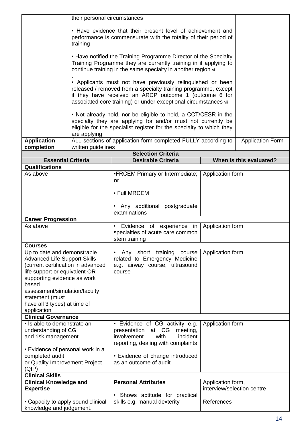|                                                              | their personal circumstances                                                                                                    |                                                                      |                            |                         |
|--------------------------------------------------------------|---------------------------------------------------------------------------------------------------------------------------------|----------------------------------------------------------------------|----------------------------|-------------------------|
|                                                              |                                                                                                                                 |                                                                      |                            |                         |
|                                                              | • Have evidence that their present level of achievement and<br>performance is commensurate with the totality of their period of |                                                                      |                            |                         |
|                                                              | training                                                                                                                        |                                                                      |                            |                         |
|                                                              |                                                                                                                                 | • Have notified the Training Programme Director of the Specialty     |                            |                         |
|                                                              |                                                                                                                                 | Training Programme they are currently training in if applying to     |                            |                         |
|                                                              |                                                                                                                                 | continue training in the same specialty in another region vi         |                            |                         |
|                                                              |                                                                                                                                 | • Applicants must not have previously relinquished or been           |                            |                         |
|                                                              |                                                                                                                                 |                                                                      |                            |                         |
|                                                              | released / removed from a specialty training programme, except<br>if they have received an ARCP outcome 1 (outcome 6 for        |                                                                      |                            |                         |
|                                                              | associated core training) or under exceptional circumstances vii                                                                |                                                                      |                            |                         |
|                                                              |                                                                                                                                 | • Not already hold, nor be eligible to hold, a CCT/CESR in the       |                            |                         |
|                                                              |                                                                                                                                 | specialty they are applying for and/or must not currently be         |                            |                         |
|                                                              |                                                                                                                                 | eligible for the specialist register for the specialty to which they |                            |                         |
| <b>Application</b>                                           | are applying                                                                                                                    | ALL sections of application form completed FULLY according to        |                            | <b>Application Form</b> |
| completion                                                   | written guidelines                                                                                                              |                                                                      |                            |                         |
|                                                              |                                                                                                                                 | <b>Selection Criteria</b>                                            |                            |                         |
| <b>Essential Criteria</b>                                    |                                                                                                                                 | <b>Desirable Criteria</b>                                            |                            | When is this evaluated? |
| <b>Qualifications</b>                                        |                                                                                                                                 |                                                                      |                            |                         |
| As above                                                     |                                                                                                                                 | •FRCEM Primary or Intermediate;                                      | Application form           |                         |
|                                                              |                                                                                                                                 | or                                                                   |                            |                         |
|                                                              |                                                                                                                                 | • Full MRCEM                                                         |                            |                         |
|                                                              |                                                                                                                                 | • Any additional postgraduate                                        |                            |                         |
|                                                              |                                                                                                                                 | examinations                                                         |                            |                         |
| <b>Career Progression</b>                                    |                                                                                                                                 |                                                                      |                            |                         |
| As above                                                     |                                                                                                                                 | • Evidence of experience in                                          | Application form           |                         |
|                                                              |                                                                                                                                 | specialties of acute care common<br>stem training                    |                            |                         |
| <b>Courses</b>                                               |                                                                                                                                 |                                                                      |                            |                         |
| Up to date and demonstrable                                  |                                                                                                                                 | Any short training course<br>$\bullet$                               | Application form           |                         |
| <b>Advanced Life Support Skills</b>                          |                                                                                                                                 | related to Emergency Medicine                                        |                            |                         |
| (current certification in advanced                           |                                                                                                                                 | e.g. airway course, ultrasound                                       |                            |                         |
| life support or equivalent OR<br>supporting evidence as work |                                                                                                                                 | course                                                               |                            |                         |
| based                                                        |                                                                                                                                 |                                                                      |                            |                         |
| assessment/simulation/faculty                                |                                                                                                                                 |                                                                      |                            |                         |
| statement (must                                              |                                                                                                                                 |                                                                      |                            |                         |
| have all 3 types) at time of                                 |                                                                                                                                 |                                                                      |                            |                         |
| application<br><b>Clinical Governance</b>                    |                                                                                                                                 |                                                                      |                            |                         |
| • Is able to demonstrate an                                  |                                                                                                                                 | • Evidence of CG activity e.g.                                       | Application form           |                         |
| understanding of CG                                          |                                                                                                                                 | presentation<br>at CG<br>meeting,                                    |                            |                         |
| and risk management                                          |                                                                                                                                 | involvement<br>incident<br>with                                      |                            |                         |
|                                                              |                                                                                                                                 | reporting, dealing with complaints                                   |                            |                         |
| • Evidence of personal work in a                             |                                                                                                                                 |                                                                      |                            |                         |
| completed audit                                              |                                                                                                                                 | • Evidence of change introduced                                      |                            |                         |
| or Quality Improvement Project                               |                                                                                                                                 | as an outcome of audit                                               |                            |                         |
| (QIP)<br><b>Clinical Skills</b>                              |                                                                                                                                 |                                                                      |                            |                         |
| <b>Clinical Knowledge and</b>                                |                                                                                                                                 | <b>Personal Attributes</b>                                           | Application form,          |                         |
| <b>Expertise</b>                                             |                                                                                                                                 |                                                                      | interview/selection centre |                         |
|                                                              |                                                                                                                                 | • Shows aptitude for practical                                       |                            |                         |
| • Capacity to apply sound clinical                           |                                                                                                                                 | skills e.g. manual dexterity                                         | References                 |                         |
| knowledge and judgement.                                     |                                                                                                                                 |                                                                      |                            |                         |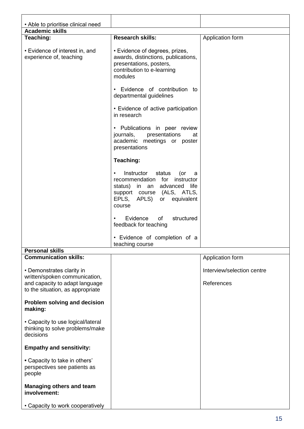| • Able to prioritise clinical need                                                           |                                                                                                                                                                                    |                                          |
|----------------------------------------------------------------------------------------------|------------------------------------------------------------------------------------------------------------------------------------------------------------------------------------|------------------------------------------|
| <b>Academic skills</b>                                                                       |                                                                                                                                                                                    |                                          |
| Teaching:                                                                                    | <b>Research skills:</b>                                                                                                                                                            | Application form                         |
| • Evidence of interest in, and<br>experience of, teaching                                    | • Evidence of degrees, prizes,<br>awards, distinctions, publications,<br>presentations, posters,<br>contribution to e-learning<br>modules                                          |                                          |
|                                                                                              | • Evidence of contribution to<br>departmental guidelines                                                                                                                           |                                          |
|                                                                                              | • Evidence of active participation<br>in research                                                                                                                                  |                                          |
|                                                                                              | • Publications in peer review<br>journals,<br>presentations<br>at<br>academic meetings or poster<br>presentations                                                                  |                                          |
|                                                                                              | Teaching:                                                                                                                                                                          |                                          |
|                                                                                              | Instructor<br>status<br>(or<br>$\bullet$<br>a<br>recommendation for instructor<br>status) in an advanced life<br>support course (ALS, ATLS,<br>EPLS, APLS) or equivalent<br>course |                                          |
|                                                                                              | Evidence<br>of<br>structured<br>$\bullet$<br>feedback for teaching                                                                                                                 |                                          |
|                                                                                              | • Evidence of completion of a<br>teaching course                                                                                                                                   |                                          |
| <b>Personal skills</b>                                                                       |                                                                                                                                                                                    |                                          |
| <b>Communication skills:</b>                                                                 |                                                                                                                                                                                    | Application form                         |
| • Demonstrates clarity in<br>written/spoken communication,<br>and capacity to adapt language |                                                                                                                                                                                    | Interview/selection centre<br>References |
| to the situation, as appropriate                                                             |                                                                                                                                                                                    |                                          |
| Problem solving and decision<br>making:                                                      |                                                                                                                                                                                    |                                          |
| • Capacity to use logical/lateral<br>thinking to solve problems/make<br>decisions            |                                                                                                                                                                                    |                                          |
| <b>Empathy and sensitivity:</b>                                                              |                                                                                                                                                                                    |                                          |
| • Capacity to take in others'<br>perspectives see patients as<br>people                      |                                                                                                                                                                                    |                                          |
| Managing others and team<br>involvement:                                                     |                                                                                                                                                                                    |                                          |
| • Capacity to work cooperatively                                                             |                                                                                                                                                                                    |                                          |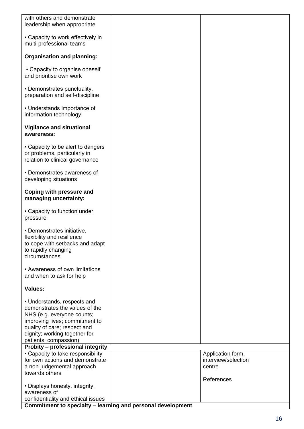| with others and demonstrate                                                                                                                                                                                                                                        |                               |
|--------------------------------------------------------------------------------------------------------------------------------------------------------------------------------------------------------------------------------------------------------------------|-------------------------------|
| leadership when appropriate                                                                                                                                                                                                                                        |                               |
| • Capacity to work effectively in<br>multi-professional teams                                                                                                                                                                                                      |                               |
| <b>Organisation and planning:</b>                                                                                                                                                                                                                                  |                               |
| • Capacity to organise oneself<br>and prioritise own work                                                                                                                                                                                                          |                               |
| • Demonstrates punctuality,<br>preparation and self-discipline                                                                                                                                                                                                     |                               |
| • Understands importance of<br>information technology                                                                                                                                                                                                              |                               |
| <b>Vigilance and situational</b><br>awareness:                                                                                                                                                                                                                     |                               |
| • Capacity to be alert to dangers<br>or problems, particularly in<br>relation to clinical governance                                                                                                                                                               |                               |
| • Demonstrates awareness of<br>developing situations                                                                                                                                                                                                               |                               |
| Coping with pressure and<br>managing uncertainty:                                                                                                                                                                                                                  |                               |
| • Capacity to function under<br>pressure                                                                                                                                                                                                                           |                               |
| • Demonstrates initiative,<br>flexibility and resilience<br>to cope with setbacks and adapt<br>to rapidly changing<br>circumstances                                                                                                                                |                               |
| • Awareness of own limitations<br>and when to ask for help                                                                                                                                                                                                         |                               |
| <b>Values:</b>                                                                                                                                                                                                                                                     |                               |
| • Understands, respects and<br>demonstrates the values of the<br>NHS (e.g. everyone counts;<br>improving lives; commitment to<br>quality of care; respect and<br>dignity; working together for<br>patients; compassion)<br><b>Probity - professional integrity</b> |                               |
| • Capacity to take responsibility                                                                                                                                                                                                                                  | Application form,             |
| for own actions and demonstrate                                                                                                                                                                                                                                    | interview/selection<br>centre |
| a non-judgemental approach<br>towards others                                                                                                                                                                                                                       |                               |
| • Displays honesty, integrity,                                                                                                                                                                                                                                     | References                    |
| awareness of                                                                                                                                                                                                                                                       |                               |
| confidentiality and ethical issues                                                                                                                                                                                                                                 |                               |
| Commitment to specialty - learning and personal development                                                                                                                                                                                                        |                               |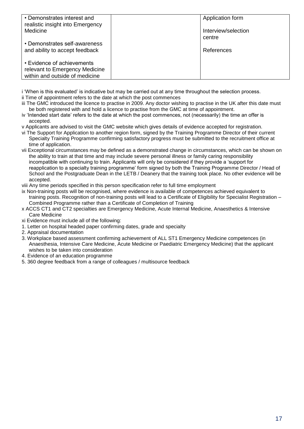| • Demonstrates interest and<br>realistic insight into Emergency                                | Application form              |
|------------------------------------------------------------------------------------------------|-------------------------------|
| Medicine                                                                                       | Interview/selection<br>centre |
| • Demonstrates self-awareness<br>and ability to accept feedback                                | References                    |
| • Evidence of achievements<br>relevant to Emergency Medicine<br>within and outside of medicine |                               |

i 'When is this evaluated' is indicative but may be carried out at any time throughout the selection process.

- ii Time of appointment refers to the date at which the post commences
- iii The GMC introduced the licence to practise in 2009. Any doctor wishing to practise in the UK after this date must be both registered with and hold a licence to practise from the GMC at time of appointment.
- iv 'Intended start date' refers to the date at which the post commences, not (necessarily) the time an offer is accepted.

v Applicants are advised to visit the GMC website which gives details of evidence accepted for registration.

- vi The Support for Application to another region form, signed by the Training Programme Director of their current Specialty Training Programme confirming satisfactory progress must be submitted to the recruitment office at time of application.
- vii Exceptional circumstances may be defined as a demonstrated change in circumstances, which can be shown on the ability to train at that time and may include severe personal illness or family caring responsibility incompatible with continuing to train. Applicants will only be considered if they provide a 'support for reapplication to a specialty training programme' form signed by both the Training Programme Director / Head of School and the Postgraduate Dean in the LETB / Deanery that the training took place. No other evidence will be accepted.
- viii Any time periods specified in this person specification refer to full time employment
- ix Non-training posts will be recognised, where evidence is available of competences achieved equivalent to training posts. Recognition of non-training posts will lead to a Certificate of Eligibility for Specialist Registration – Combined Programme rather than a Certificate of Completion of Training
- x ACCS CT1 and CT2 specialties are Emergency Medicine, Acute Internal Medicine, Anaesthetics & Intensive Care Medicine
- xi Evidence must include all of the following:
- 1. Letter on hospital headed paper confirming dates, grade and specialty
- 2. Appraisal documentation
- 3. Workplace based assessment confirming achievement of ALL ST1 Emergency Medicine competences (in Anaesthesia, Intensive Care Medicine, Acute Medicine or Paediatric Emergency Medicine) that the applicant wishes to be taken into consideration
- 4. Evidence of an education programme
- 5. 360 degree feedback from a range of colleagues / multisource feedback